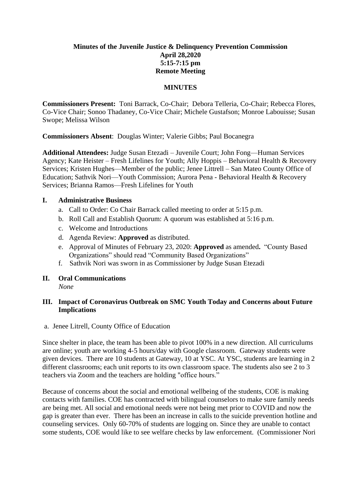# **Minutes of the Juvenile Justice & Delinquency Prevention Commission April 28,2020 5:15-7:15 pm Remote Meeting**

### **MINUTES**

**Commissioners Present:** Toni Barrack, Co-Chair; Debora Telleria, Co-Chair; Rebecca Flores, Co-Vice Chair; Sonoo Thadaney, Co-Vice Chair; Michele Gustafson; Monroe Labouisse; Susan Swope; Melissa Wilson

**Commissioners Absent**: Douglas Winter; Valerie Gibbs; Paul Bocanegra

**Additional Attendees:** Judge Susan Etezadi – Juvenile Court; John Fong—Human Services Agency; Kate Heister – Fresh Lifelines for Youth; Ally Hoppis – Behavioral Health & Recovery Services; Kristen Hughes—Member of the public; Jenee Littrell – San Mateo County Office of Education; Sathvik Nori—Youth Commission; Aurora Pena - Behavioral Health & Recovery Services; Brianna Ramos—Fresh Lifelines for Youth

### **I. Administrative Business**

- a. Call to Order: Co Chair Barrack called meeting to order at 5:15 p.m.
- b. Roll Call and Establish Quorum: A quorum was established at 5:16 p.m.
- c. Welcome and Introductions
- d. Agenda Review: **Approved** as distributed.
- e. Approval of Minutes of February 23, 2020: **Approved** as amended**.** "County Based Organizations" should read "Community Based Organizations"
- f. Sathvik Nori was sworn in as Commissioner by Judge Susan Etezadi
- **II. Oral Communications**  *None*

### **III. Impact of Coronavirus Outbreak on SMC Youth Today and Concerns about Future Implications**

a. Jenee Litrell, County Office of Education

Since shelter in place, the team has been able to pivot 100% in a new direction. All curriculums are online; youth are working 4-5 hours/day with Google classroom. Gateway students were given devices. There are 10 students at Gateway, 10 at YSC. At YSC, students are learning in 2 different classrooms; each unit reports to its own classroom space. The students also see 2 to 3 teachers via Zoom and the teachers are holding "office hours."

Because of concerns about the social and emotional wellbeing of the students, COE is making contacts with families. COE has contracted with bilingual counselors to make sure family needs are being met. All social and emotional needs were not being met prior to COVID and now the gap is greater than ever. There has been an increase in calls to the suicide prevention hotline and counseling services. Only 60-70% of students are logging on. Since they are unable to contact some students, COE would like to see welfare checks by law enforcement. (Commissioner Nori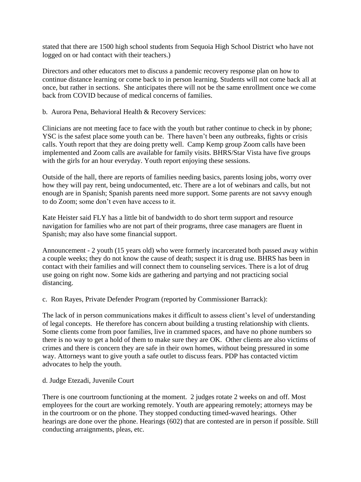stated that there are 1500 high school students from Sequoia High School District who have not logged on or had contact with their teachers.)

Directors and other educators met to discuss a pandemic recovery response plan on how to continue distance learning or come back to in person learning. Students will not come back all at once, but rather in sections. She anticipates there will not be the same enrollment once we come back from COVID because of medical concerns of families.

b. Aurora Pena, Behavioral Health & Recovery Services:

Clinicians are not meeting face to face with the youth but rather continue to check in by phone; YSC is the safest place some youth can be. There haven't been any outbreaks, fights or crisis calls. Youth report that they are doing pretty well. Camp Kemp group Zoom calls have been implemented and Zoom calls are available for family visits. BHRS/Star Vista have five groups with the girls for an hour everyday. Youth report enjoying these sessions.

Outside of the hall, there are reports of families needing basics, parents losing jobs, worry over how they will pay rent, being undocumented, etc. There are a lot of webinars and calls, but not enough are in Spanish; Spanish parents need more support. Some parents are not savvy enough to do Zoom; some don't even have access to it.

Kate Heister said FLY has a little bit of bandwidth to do short term support and resource navigation for families who are not part of their programs, three case managers are fluent in Spanish; may also have some financial support.

Announcement - 2 youth (15 years old) who were formerly incarcerated both passed away within a couple weeks; they do not know the cause of death; suspect it is drug use. BHRS has been in contact with their families and will connect them to counseling services. There is a lot of drug use going on right now. Some kids are gathering and partying and not practicing social distancing.

c. Ron Rayes, Private Defender Program (reported by Commissioner Barrack):

The lack of in person communications makes it difficult to assess client's level of understanding of legal concepts. He therefore has concern about building a trusting relationship with clients. Some clients come from poor families, live in crammed spaces, and have no phone numbers so there is no way to get a hold of them to make sure they are OK. Other clients are also victims of crimes and there is concern they are safe in their own homes, without being pressured in some way. Attorneys want to give youth a safe outlet to discuss fears. PDP has contacted victim advocates to help the youth.

d. Judge Etezadi, Juvenile Court

There is one courtroom functioning at the moment. 2 judges rotate 2 weeks on and off. Most employees for the court are working remotely. Youth are appearing remotely; attorneys may be in the courtroom or on the phone. They stopped conducting timed-waved hearings. Other hearings are done over the phone. Hearings (602) that are contested are in person if possible. Still conducting arraignments, pleas, etc.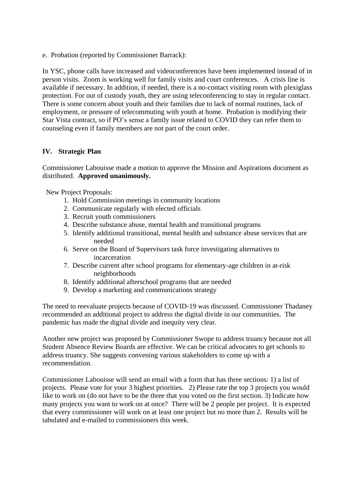e. Probation (reported by Commissioner Barrack):

In YSC, phone calls have increased and videoconferences have been implemented instead of in person visits. Zoom is working well for family visits and court conferences. A crisis line is available if necessary. In addition, if needed, there is a no-contact visiting room with plexiglass protection. For out of custody youth, they are using teleconferencing to stay in regular contact. There is some concern about youth and their families due to lack of normal routines, lack of employment, or pressure of telecommuting with youth at home. Probation is modifying their Star Vista contract, so if PO's sense a family issue related to COVID they can refer them to counseling even if family members are not part of the court order.

# **IV. Strategic Plan**

Commissioner Labouisse made a motion to approve the Mission and Aspirations document as distributed. **Approved unanimously.**

New Project Proposals:

- 1. Hold Commission meetings in community locations
- 2. Communicate regularly with elected officials
- 3. Recruit youth commissioners
- 4. Describe substance abuse, mental health and transitional programs
- 5. Identify additional transitional, mental health and substance abuse services that are needed
- 6. Serve on the Board of Supervisors task force investigating alternatives to incarceration
- 7. Describe current after school programs for elementary-age children in at-risk neighborhoods
- 8. Identify additional afterschool programs that are needed
- 9. Develop a marketing and communications strategy

The need to reevaluate projects because of COVID-19 was discussed. Commissioner Thadaney recommended an additional project to address the digital divide in our communities. The pandemic has made the digital divide and inequity very clear.

Another new project was proposed by Commissioner Swope to address truancy because not all Student Absence Review Boards are effective. We can be critical advocates to get schools to address truancy. She suggests convening various stakeholders to come up with a recommendation.

Commissioner Labouisse will send an email with a form that has three sections: 1) a list of projects. Please vote for your 3 highest priorities. 2) Please rate the top 3 projects you would like to work on (do not have to be the three that you voted on the first section. 3) Indicate how many projects you want to work on at once? There will be 2 people per project. It is expected that every commissioner will work on at least one project but no more than 2. Results will be tabulated and e-mailed to commissioners this week.